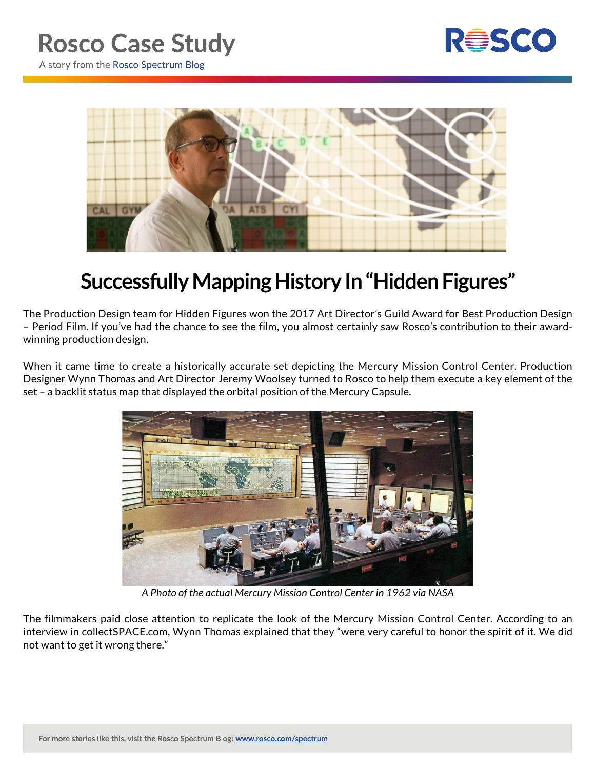

A story from the Rosco Spectrum Blog



## **Successfully Mapping History In "Hidden Figures"**

The Production Design team for Hidden Figures won the 2017 Art Director's Guild Award for Best Production Design – Period Film. If you've had the chance to see the film, you almost certainly saw Rosco's contribution to their awardwinning production design.

When it came time to create a historically accurate set depicting the Mercury Mission Control Center, Production Designer Wynn Thomas and Art Director Jeremy Woolsey turned to Rosco to help them execute a key element of the set – a backlit status map that displayed the orbital position of the Mercury Capsule.



*A Photo of the actual Mercury Mission Control Center in 1962 via NASA*

The filmmakers paid close attention to replicate the look of the Mercury Mission Control Center. According to an interview in collectSPACE.com, Wynn Thomas explained that they "were very careful to honor the spirit of it. We did not want to get it wrong there."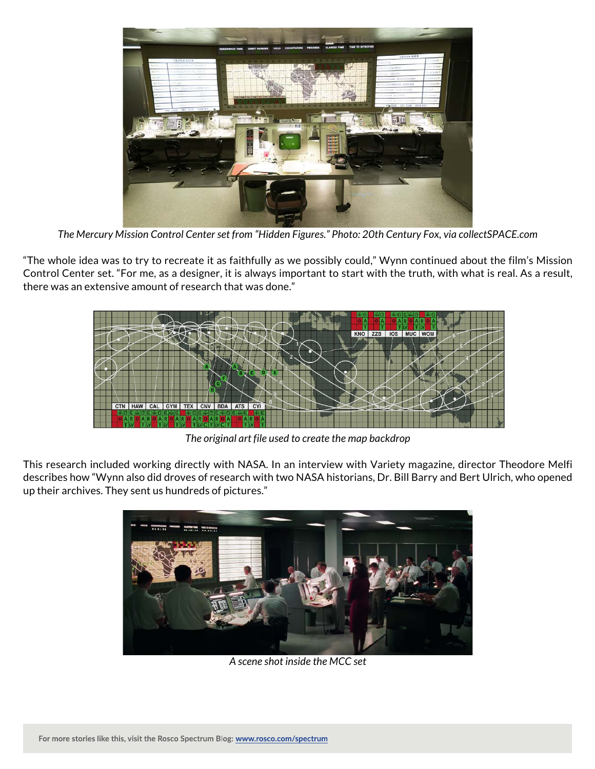

*The Mercury Mission Control Center set from "Hidden Figures." Photo: 20th Century Fox, via collectSPACE.com*

"The whole idea was to try to recreate it as faithfully as we possibly could," Wynn continued about the film's Mission Control Center set. "For me, as a designer, it is always important to start with the truth, with what is real. As a result, there was an extensive amount of research that was done."



*The original art file used to create the map backdrop*

This research included working directly with NASA. In an interview with Variety magazine, director Theodore Melfi describes how "Wynn also did droves of research with two NASA historians, Dr. Bill Barry and Bert Ulrich, who opened up their archives. They sent us hundreds of pictures."



*A scene shot inside the MCC set*